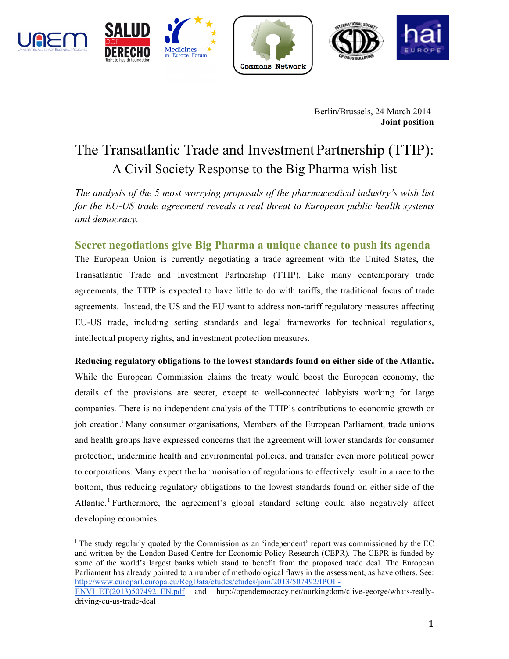



 







Berlin/Brussels, 24 March 2014 **Joint position**

# The Transatlantic Trade and Investment Partnership (TTIP): A Civil Society Response to the Big Pharma wish list

*The analysis of the 5 most worrying proposals of the pharmaceutical industry's wish list for the EU-US trade agreement reveals a real threat to European public health systems and democracy.*

**Secret negotiations give Big Pharma a unique chance to push its agenda** The European Union is currently negotiating a trade agreement with the United States, the Transatlantic Trade and Investment Partnership (TTIP). Like many contemporary trade agreements, the TTIP is expected to have little to do with tariffs, the traditional focus of trade agreements. Instead, the US and the EU want to address non-tariff regulatory measures affecting EU-US trade, including setting standards and legal frameworks for technical regulations, intellectual property rights, and investment protection measures.

**Reducing regulatory obligations to the lowest standards found on either side of the Atlantic.**  While the European Commission claims the treaty would boost the European economy, the details of the provisions are secret, except to well-connected lobbyists working for large companies. There is no independent analysis of the TTIP's contributions to economic growth or job creation.<sup>1</sup> Many consumer organisations, Members of the European Parliament, trade unions and health groups have expressed concerns that the agreement will lower standards for consumer protection, undermine health and environmental policies, and transfer even more political power to corporations. Many expect the harmonisation of regulations to effectively result in a race to the bottom, thus reducing regulatory obligations to the lowest standards found on either side of the Atlantic.<sup>1</sup> Furthermore, the agreement's global standard setting could also negatively affect developing economies.

<sup>&</sup>lt;sup>i</sup> The study regularly quoted by the Commission as an 'independent' report was commissioned by the EC and written by the London Based Centre for Economic Policy Research (CEPR). The CEPR is funded by some of the world's largest banks which stand to benefit from the proposed trade deal. The European Parliament has already pointed to a number of methodological flaws in the assessment, as have others. See: http://www.europarl.europa.eu/RegData/etudes/etudes/join/2013/507492/IPOL-

ENVI\_ET(2013)507492\_EN.pdf and http://opendemocracy.net/ourkingdom/clive-george/whats-reallydriving-eu-us-trade-deal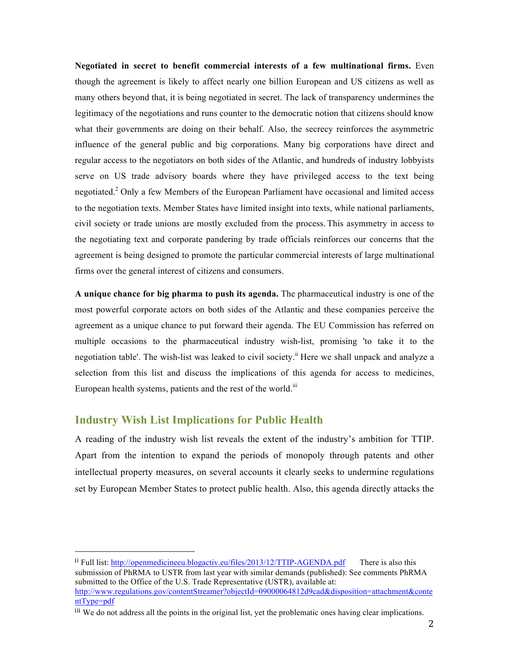**Negotiated in secret to benefit commercial interests of a few multinational firms.** Even though the agreement is likely to affect nearly one billion European and US citizens as well as many others beyond that, it is being negotiated in secret. The lack of transparency undermines the legitimacy of the negotiations and runs counter to the democratic notion that citizens should know what their governments are doing on their behalf. Also, the secrecy reinforces the asymmetric influence of the general public and big corporations. Many big corporations have direct and regular access to the negotiators on both sides of the Atlantic, and hundreds of industry lobbyists serve on US trade advisory boards where they have privileged access to the text being negotiated.<sup>2</sup> Only a few Members of the European Parliament have occasional and limited access to the negotiation texts. Member States have limited insight into texts, while national parliaments, civil society or trade unions are mostly excluded from the process. This asymmetry in access to the negotiating text and corporate pandering by trade officials reinforces our concerns that the agreement is being designed to promote the particular commercial interests of large multinational firms over the general interest of citizens and consumers.

**A unique chance for big pharma to push its agenda.** The pharmaceutical industry is one of the most powerful corporate actors on both sides of the Atlantic and these companies perceive the agreement as a unique chance to put forward their agenda. The EU Commission has referred on multiple occasions to the pharmaceutical industry wish-list, promising 'to take it to the negotiation table'. The wish-list was leaked to civil society.<sup>ii</sup> Here we shall unpack and analyze a selection from this list and discuss the implications of this agenda for access to medicines, European health systems, patients and the rest of the world.<sup>iii</sup>

## **Industry Wish List Implications for Public Health**

 

A reading of the industry wish list reveals the extent of the industry's ambition for TTIP. Apart from the intention to expand the periods of monopoly through patents and other intellectual property measures, on several accounts it clearly seeks to undermine regulations set by European Member States to protect public health. Also, this agenda directly attacks the

ii Full list: http://openmedicineeu.blogactiv.eu/files/2013/12/TTIP-AGENDA.pdf There is also this submission of PhRMA to USTR from last year with similar demands (published): See comments PhRMA submitted to the Office of the U.S. Trade Representative (USTR), available at: http://www.regulations.gov/contentStreamer?objectId=09000064812d9cad&disposition=attachment&conte ntType=pdf

iii We do not address all the points in the original list, yet the problematic ones having clear implications.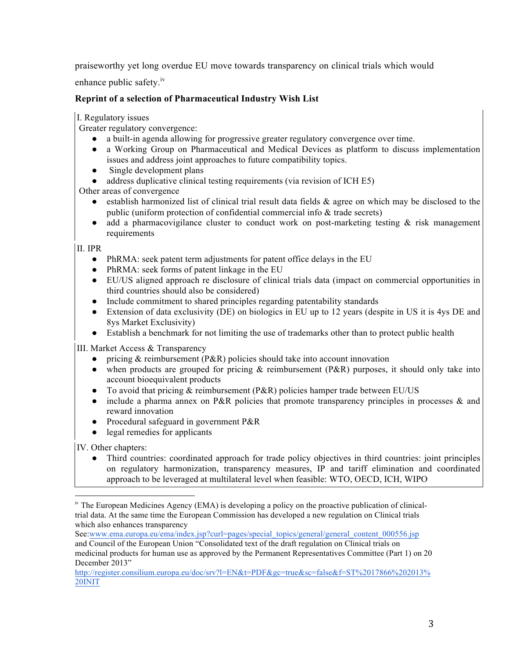praiseworthy yet long overdue EU move towards transparency on clinical trials which would

enhance public safety.<sup>iv</sup>

# **Reprint of a selection of Pharmaceutical Industry Wish List**

#### I. Regulatory issues

Greater regulatory convergence:

- a built-in agenda allowing for progressive greater regulatory convergence over time.
- a Working Group on Pharmaceutical and Medical Devices as platform to discuss implementation issues and address joint approaches to future compatibility topics.
- Single development plans
- address duplicative clinical testing requirements (via revision of ICH E5)

Other areas of convergence

- establish harmonized list of clinical trial result data fields & agree on which may be disclosed to the public (uniform protection of confidential commercial info & trade secrets)
- add a pharmacovigilance cluster to conduct work on post-marketing testing & risk management requirements

#### II. IPR

- PhRMA: seek patent term adjustments for patent office delays in the EU
- PhRMA: seek forms of patent linkage in the EU
- EU/US aligned approach re disclosure of clinical trials data (impact on commercial opportunities in third countries should also be considered)
- Include commitment to shared principles regarding patentability standards
- Extension of data exclusivity (DE) on biologics in EU up to 12 years (despite in US it is 4ys DE and 8ys Market Exclusivity)
- Establish a benchmark for not limiting the use of trademarks other than to protect public health

III. Market Access & Transparency

- pricing  $&$  reimbursement (P&R) policies should take into account innovation
- when products are grouped for pricing & reimbursement (P&R) purposes, it should only take into account bioequivalent products
- To avoid that pricing  $&$  reimbursement (P $&$ R) policies hamper trade between EU/US
- include a pharma annex on P&R policies that promote transparency principles in processes & and reward innovation
- Procedural safeguard in government P&R
- legal remedies for applicants

 

IV. Other chapters:

● Third countries: coordinated approach for trade policy objectives in third countries: joint principles on regulatory harmonization, transparency measures, IP and tariff elimination and coordinated approach to be leveraged at multilateral level when feasible: WTO, OECD, ICH, WIPO

<sup>&</sup>lt;sup>iv</sup> The European Medicines Agency (EMA) is developing a policy on the proactive publication of clinicaltrial data. At the same time the European Commission has developed a new regulation on Clinical trials which also enhances transparency

See:www.ema.europa.eu/ema/index.jsp?curl=pages/special\_topics/general/general\_content\_000556.jsp

and Council of the European Union "Consolidated text of the draft regulation on Clinical trials on medicinal products for human use as approved by the Permanent Representatives Committee (Part 1) on 20 December 2013"

http://register.consilium.europa.eu/doc/srv?l=EN&t=PDF&gc=true&sc=false&f=ST%2017866%202013% 20INIT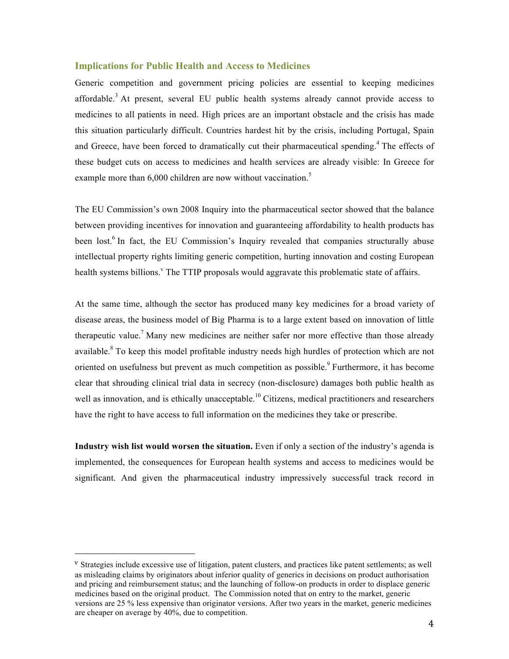#### **Implications for Public Health and Access to Medicines**

Generic competition and government pricing policies are essential to keeping medicines affordable.<sup>3</sup> At present, several EU public health systems already cannot provide access to medicines to all patients in need. High prices are an important obstacle and the crisis has made this situation particularly difficult. Countries hardest hit by the crisis, including Portugal, Spain and Greece, have been forced to dramatically cut their pharmaceutical spending.<sup>4</sup> The effects of these budget cuts on access to medicines and health services are already visible: In Greece for example more than 6,000 children are now without vaccination.<sup>5</sup>

The EU Commission's own 2008 Inquiry into the pharmaceutical sector showed that the balance between providing incentives for innovation and guaranteeing affordability to health products has been lost.<sup>6</sup> In fact, the EU Commission's Inquiry revealed that companies structurally abuse intellectual property rights limiting generic competition, hurting innovation and costing European health systems billions.<sup>V</sup> The TTIP proposals would aggravate this problematic state of affairs.

At the same time, although the sector has produced many key medicines for a broad variety of disease areas, the business model of Big Pharma is to a large extent based on innovation of little therapeutic value.<sup>7</sup> Many new medicines are neither safer nor more effective than those already available.<sup>8</sup> To keep this model profitable industry needs high hurdles of protection which are not oriented on usefulness but prevent as much competition as possible.<sup>9</sup> Furthermore, it has become clear that shrouding clinical trial data in secrecy (non-disclosure) damages both public health as well as innovation, and is ethically unacceptable.<sup>10</sup> Citizens, medical practitioners and researchers have the right to have access to full information on the medicines they take or prescribe.

**Industry wish list would worsen the situation.** Even if only a section of the industry's agenda is implemented, the consequences for European health systems and access to medicines would be significant. And given the pharmaceutical industry impressively successful track record in

<sup>v</sup> Strategies include excessive use of litigation, patent clusters, and practices like patent settlements; as well as misleading claims by originators about inferior quality of generics in decisions on product authorisation and pricing and reimbursement status; and the launching of follow-on products in order to displace generic medicines based on the original product. The Commission noted that on entry to the market, generic versions are 25 % less expensive than originator versions. After two years in the market, generic medicines are cheaper on average by 40%, due to competition.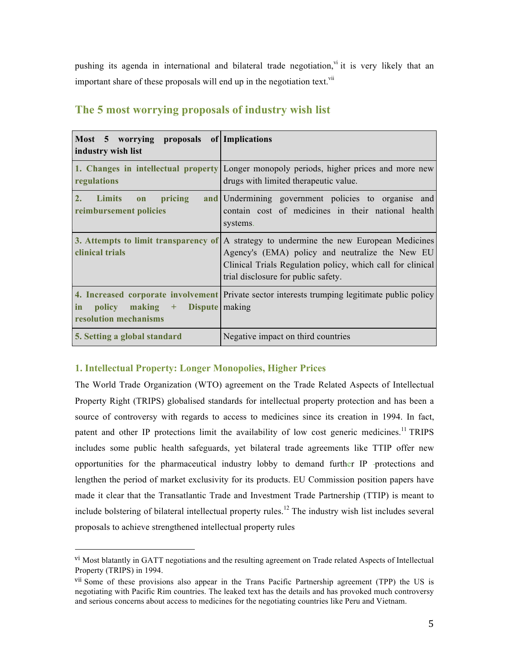pushing its agenda in international and bilateral trade negotiation, v<sup>i</sup> it is very likely that an important share of these proposals will end up in the negotiation text.  $\dot{u}$ 

| Most 5 worrying proposals of Implications<br>industry wish list         |                                                                                                                                                                                                                                                   |
|-------------------------------------------------------------------------|---------------------------------------------------------------------------------------------------------------------------------------------------------------------------------------------------------------------------------------------------|
| regulations                                                             | 1. Changes in intellectual property Longer monopoly periods, higher prices and more new<br>drugs with limited therapeutic value.                                                                                                                  |
| 2.<br>pricing<br><b>Limits</b><br>on<br>reimbursement policies          | and Undermining government policies to organise and<br>contain cost of medicines in their national health<br>systems.                                                                                                                             |
| clinical trials                                                         | 3. Attempts to limit transparency of $A$ strategy to undermine the new European Medicines<br>Agency's (EMA) policy and neutralize the New EU<br>Clinical Trials Regulation policy, which call for clinical<br>trial disclosure for public safety. |
| policy making +<br>Dispute making<br>in<br><b>resolution mechanisms</b> | 4. Increased corporate involvement Private sector interests trumping legitimate public policy                                                                                                                                                     |
| 5. Setting a global standard                                            | Negative impact on third countries                                                                                                                                                                                                                |

# **The 5 most worrying proposals of industry wish list**

## **1. Intellectual Property: Longer Monopolies, Higher Prices**

 

The World Trade Organization (WTO) agreement on the Trade Related Aspects of Intellectual Property Right (TRIPS) globalised standards for intellectual property protection and has been a source of controversy with regards to access to medicines since its creation in 1994. In fact, patent and other IP protections limit the availability of low cost generic medicines.<sup>11</sup> TRIPS includes some public health safeguards, yet bilateral trade agreements like TTIP offer new opportunities for the pharmaceutical industry lobby to demand further IP protections and lengthen the period of market exclusivity for its products. EU Commission position papers have made it clear that the Transatlantic Trade and Investment Trade Partnership (TTIP) is meant to include bolstering of bilateral intellectual property rules.<sup>12</sup> The industry wish list includes several proposals to achieve strengthened intellectual property rules

vi Most blatantly in GATT negotiations and the resulting agreement on Trade related Aspects of Intellectual Property (TRIPS) in 1994.

vii Some of these provisions also appear in the Trans Pacific Partnership agreement (TPP) the US is negotiating with Pacific Rim countries. The leaked text has the details and has provoked much controversy and serious concerns about access to medicines for the negotiating countries like Peru and Vietnam.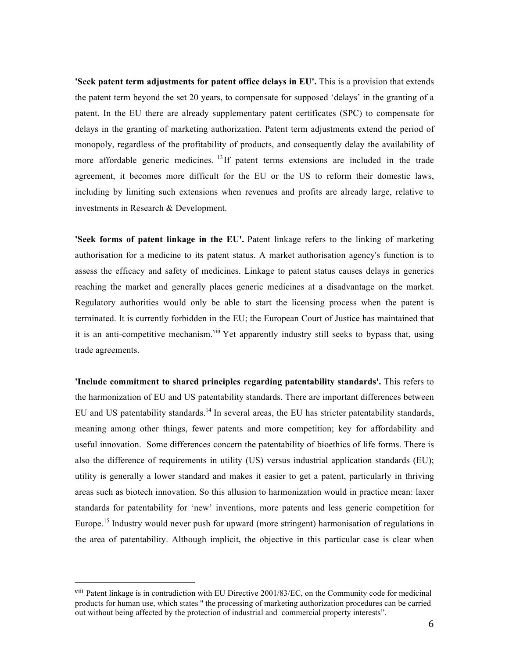**'Seek patent term adjustments for patent office delays in EU'.** This is a provision that extends the patent term beyond the set 20 years, to compensate for supposed 'delays' in the granting of a patent. In the EU there are already supplementary patent certificates (SPC) to compensate for delays in the granting of marketing authorization. Patent term adjustments extend the period of monopoly, regardless of the profitability of products, and consequently delay the availability of more affordable generic medicines. <sup>13</sup> If patent terms extensions are included in the trade agreement, it becomes more difficult for the EU or the US to reform their domestic laws, including by limiting such extensions when revenues and profits are already large, relative to investments in Research & Development.

**'Seek forms of patent linkage in the EU'.** Patent linkage refers to the linking of marketing authorisation for a medicine to its patent status. A market authorisation agency's function is to assess the efficacy and safety of medicines. Linkage to patent status causes delays in generics reaching the market and generally places generic medicines at a disadvantage on the market. Regulatory authorities would only be able to start the licensing process when the patent is terminated. It is currently forbidden in the EU; the European Court of Justice has maintained that it is an anti-competitive mechanism.<sup>viii</sup> Yet apparently industry still seeks to bypass that, using trade agreements.

**'Include commitment to shared principles regarding patentability standards'.** This refers to the harmonization of EU and US patentability standards. There are important differences between EU and US patentability standards.<sup>14</sup> In several areas, the EU has stricter patentability standards, meaning among other things, fewer patents and more competition; key for affordability and useful innovation. Some differences concern the patentability of bioethics of life forms. There is also the difference of requirements in utility (US) versus industrial application standards (EU); utility is generally a lower standard and makes it easier to get a patent, particularly in thriving areas such as biotech innovation. So this allusion to harmonization would in practice mean: laxer standards for patentability for 'new' inventions, more patents and less generic competition for Europe.<sup>15</sup> Industry would never push for upward (more stringent) harmonisation of regulations in the area of patentability. Although implicit, the objective in this particular case is clear when

viii Patent linkage is in contradiction with EU Directive 2001/83/EC, on the Community code for medicinal products for human use, which states '' the processing of marketing authorization procedures can be carried out without being affected by the protection of industrial and commercial property interests".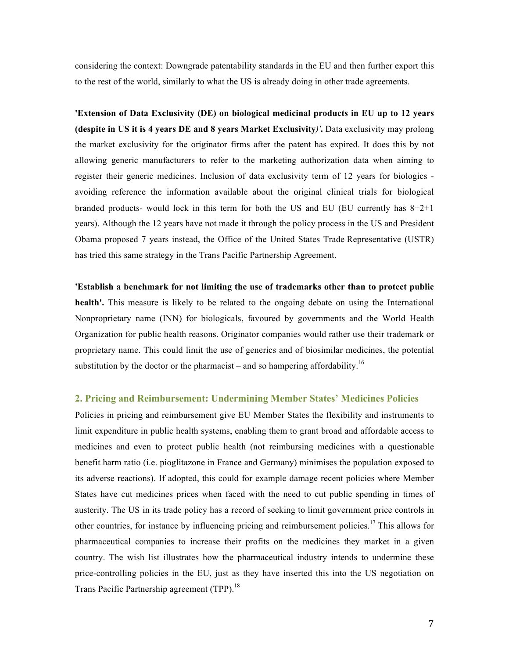considering the context: Downgrade patentability standards in the EU and then further export this to the rest of the world, similarly to what the US is already doing in other trade agreements.

**'Extension of Data Exclusivity (DE) on biological medicinal products in EU up to 12 years (despite in US it is 4 years DE and 8 years Market Exclusivity***)'***.** Data exclusivity may prolong the market exclusivity for the originator firms after the patent has expired. It does this by not allowing generic manufacturers to refer to the marketing authorization data when aiming to register their generic medicines. Inclusion of data exclusivity term of 12 years for biologics avoiding reference the information available about the original clinical trials for biological branded products- would lock in this term for both the US and EU (EU currently has  $8+2+1$ ) years). Although the 12 years have not made it through the policy process in the US and President Obama proposed 7 years instead, the Office of the United States Trade Representative (USTR) has tried this same strategy in the Trans Pacific Partnership Agreement.

**'Establish a benchmark for not limiting the use of trademarks other than to protect public health'.** This measure is likely to be related to the ongoing debate on using the International Nonproprietary name (INN) for biologicals, favoured by governments and the World Health Organization for public health reasons. Originator companies would rather use their trademark or proprietary name. This could limit the use of generics and of biosimilar medicines, the potential substitution by the doctor or the pharmacist – and so hampering affordability.<sup>16</sup>

#### **2. Pricing and Reimbursement: Undermining Member States' Medicines Policies**

Policies in pricing and reimbursement give EU Member States the flexibility and instruments to limit expenditure in public health systems, enabling them to grant broad and affordable access to medicines and even to protect public health (not reimbursing medicines with a questionable benefit harm ratio (i.e. pioglitazone in France and Germany) minimises the population exposed to its adverse reactions). If adopted, this could for example damage recent policies where Member States have cut medicines prices when faced with the need to cut public spending in times of austerity. The US in its trade policy has a record of seeking to limit government price controls in other countries, for instance by influencing pricing and reimbursement policies.<sup>17</sup> This allows for pharmaceutical companies to increase their profits on the medicines they market in a given country. The wish list illustrates how the pharmaceutical industry intends to undermine these price-controlling policies in the EU, just as they have inserted this into the US negotiation on Trans Pacific Partnership agreement (TPP).<sup>18</sup>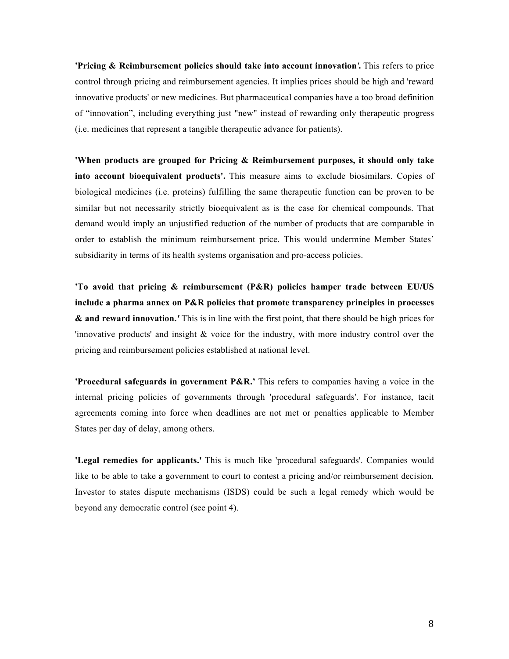**'Pricing & Reimbursement policies should take into account innovation***'***.** This refers to price control through pricing and reimbursement agencies. It implies prices should be high and 'reward innovative products' or new medicines. But pharmaceutical companies have a too broad definition of "innovation", including everything just "new" instead of rewarding only therapeutic progress (i.e. medicines that represent a tangible therapeutic advance for patients).

**'When products are grouped for Pricing & Reimbursement purposes, it should only take into account bioequivalent products'.** This measure aims to exclude biosimilars. Copies of biological medicines (i.e. proteins) fulfilling the same therapeutic function can be proven to be similar but not necessarily strictly bioequivalent as is the case for chemical compounds. That demand would imply an unjustified reduction of the number of products that are comparable in order to establish the minimum reimbursement price. This would undermine Member States' subsidiarity in terms of its health systems organisation and pro-access policies.

**'To avoid that pricing & reimbursement (P&R) policies hamper trade between EU/US include a pharma annex on P&R policies that promote transparency principles in processes & and reward innovation.***'* This is in line with the first point, that there should be high prices for 'innovative products' and insight & voice for the industry, with more industry control over the pricing and reimbursement policies established at national level.

**'Procedural safeguards in government P&R.'** This refers to companies having a voice in the internal pricing policies of governments through 'procedural safeguards'. For instance, tacit agreements coming into force when deadlines are not met or penalties applicable to Member States per day of delay, among others.

**'Legal remedies for applicants.'** This is much like 'procedural safeguards'. Companies would like to be able to take a government to court to contest a pricing and/or reimbursement decision. Investor to states dispute mechanisms (ISDS) could be such a legal remedy which would be beyond any democratic control (see point 4).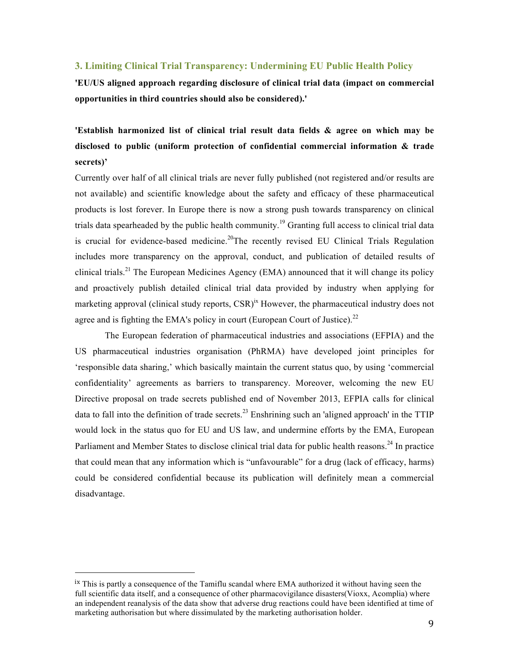#### **3. Limiting Clinical Trial Transparency: Undermining EU Public Health Policy**

**'EU/US aligned approach regarding disclosure of clinical trial data (impact on commercial opportunities in third countries should also be considered).'**

**'Establish harmonized list of clinical trial result data fields & agree on which may be disclosed to public (uniform protection of confidential commercial information & trade secrets)'**

Currently over half of all clinical trials are never fully published (not registered and/or results are not available) and scientific knowledge about the safety and efficacy of these pharmaceutical products is lost forever. In Europe there is now a strong push towards transparency on clinical trials data spearheaded by the public health community.<sup>19</sup> Granting full access to clinical trial data is crucial for evidence-based medicine.<sup>20</sup>The recently revised EU Clinical Trials Regulation includes more transparency on the approval, conduct, and publication of detailed results of clinical trials.<sup>21</sup> The European Medicines Agency (EMA) announced that it will change its policy and proactively publish detailed clinical trial data provided by industry when applying for marketing approval (clinical study reports, CSR)<sup>ix</sup> However, the pharmaceutical industry does not agree and is fighting the EMA's policy in court (European Court of Justice).<sup>22</sup>

The European federation of pharmaceutical industries and associations (EFPIA) and the US pharmaceutical industries organisation (PhRMA) have developed joint principles for 'responsible data sharing,' which basically maintain the current status quo, by using 'commercial confidentiality' agreements as barriers to transparency. Moreover, welcoming the new EU Directive proposal on trade secrets published end of November 2013, EFPIA calls for clinical data to fall into the definition of trade secrets.<sup>23</sup> Enshrining such an 'aligned approach' in the TTIP would lock in the status quo for EU and US law, and undermine efforts by the EMA, European Parliament and Member States to disclose clinical trial data for public health reasons.<sup>24</sup> In practice that could mean that any information which is "unfavourable" for a drug (lack of efficacy, harms) could be considered confidential because its publication will definitely mean a commercial disadvantage.

ix This is partly a consequence of the Tamiflu scandal where EMA authorized it without having seen the full scientific data itself, and a consequence of other pharmacovigilance disasters(Vioxx, Acomplia) where an independent reanalysis of the data show that adverse drug reactions could have been identified at time of marketing authorisation but where dissimulated by the marketing authorisation holder.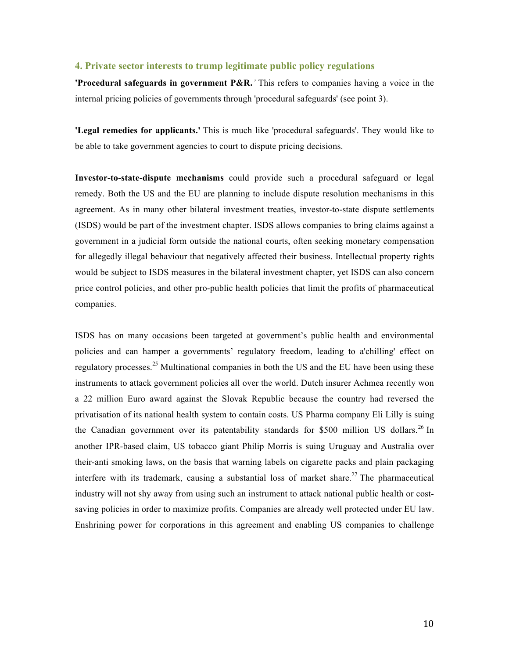#### **4. Private sector interests to trump legitimate public policy regulations**

**'Procedural safeguards in government P&R.***'* This refers to companies having a voice in the internal pricing policies of governments through 'procedural safeguards' (see point 3).

**'Legal remedies for applicants.'** This is much like 'procedural safeguards'. They would like to be able to take government agencies to court to dispute pricing decisions.

**Investor-to-state-dispute mechanisms** could provide such a procedural safeguard or legal remedy. Both the US and the EU are planning to include dispute resolution mechanisms in this agreement. As in many other bilateral investment treaties, investor-to-state dispute settlements (ISDS) would be part of the investment chapter. ISDS allows companies to bring claims against a government in a judicial form outside the national courts, often seeking monetary compensation for allegedly illegal behaviour that negatively affected their business. Intellectual property rights would be subject to ISDS measures in the bilateral investment chapter, yet ISDS can also concern price control policies, and other pro-public health policies that limit the profits of pharmaceutical companies.

ISDS has on many occasions been targeted at government's public health and environmental policies and can hamper a governments' regulatory freedom, leading to a'chilling' effect on regulatory processes.<sup>25</sup> Multinational companies in both the US and the EU have been using these instruments to attack government policies all over the world. Dutch insurer Achmea recently won a 22 million Euro award against the Slovak Republic because the country had reversed the privatisation of its national health system to contain costs. US Pharma company Eli Lilly is suing the Canadian government over its patentability standards for \$500 million US dollars.<sup>26</sup> In another IPR-based claim, US tobacco giant Philip Morris is suing Uruguay and Australia over their-anti smoking laws, on the basis that warning labels on cigarette packs and plain packaging interfere with its trademark, causing a substantial loss of market share.<sup>27</sup> The pharmaceutical industry will not shy away from using such an instrument to attack national public health or costsaving policies in order to maximize profits. Companies are already well protected under EU law. Enshrining power for corporations in this agreement and enabling US companies to challenge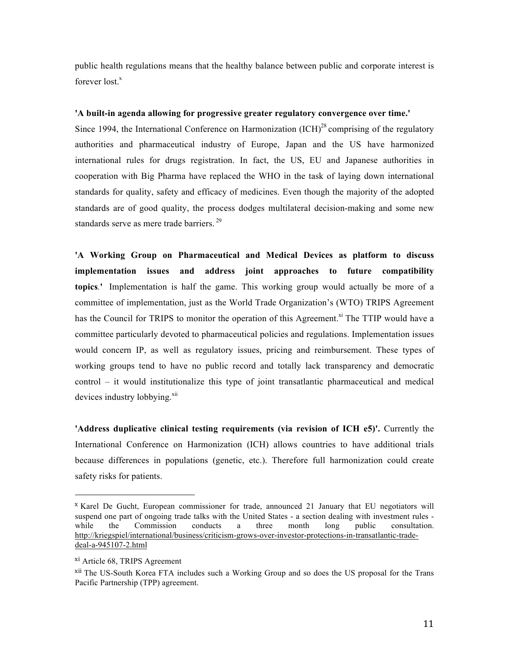public health regulations means that the healthy balance between public and corporate interest is forever  $lost<sup>x</sup>$ 

#### **'A built-in agenda allowing for progressive greater regulatory convergence over time.'**

Since 1994, the International Conference on Harmonization  $\rm{(ICH)}^{28}$  comprising of the regulatory authorities and pharmaceutical industry of Europe, Japan and the US have harmonized international rules for drugs registration. In fact, the US, EU and Japanese authorities in cooperation with Big Pharma have replaced the WHO in the task of laying down international standards for quality, safety and efficacy of medicines. Even though the majority of the adopted standards are of good quality, the process dodges multilateral decision-making and some new standards serve as mere trade barriers.<sup>29</sup>

**'A Working Group on Pharmaceutical and Medical Devices as platform to discuss implementation issues and address joint approaches to future compatibility topics***.***'** Implementation is half the game. This working group would actually be more of a committee of implementation, just as the World Trade Organization's (WTO) TRIPS Agreement has the Council for TRIPS to monitor the operation of this Agreement.<sup>xi</sup> The TTIP would have a committee particularly devoted to pharmaceutical policies and regulations. Implementation issues would concern IP, as well as regulatory issues, pricing and reimbursement. These types of working groups tend to have no public record and totally lack transparency and democratic control – it would institutionalize this type of joint transatlantic pharmaceutical and medical devices industry lobbying.<sup>xii</sup>

**'Address duplicative clinical testing requirements (via revision of ICH e5)'.** Currently the International Conference on Harmonization (ICH) allows countries to have additional trials because differences in populations (genetic, etc.). Therefore full harmonization could create safety risks for patients.

<sup>x</sup> Karel De Gucht, European commissioner for trade, announced 21 January that EU negotiators will suspend one part of ongoing trade talks with the United States - a section dealing with investment rules while the Commission conducts a three month long public consultation. http://kriegspiel/international/business/criticism-grows-over-investor-protections-in-transatlantic-tradedeal-a-945107-2.html

xi Article 68, TRIPS Agreement

xii The US-South Korea FTA includes such a Working Group and so does the US proposal for the Trans Pacific Partnership (TPP) agreement.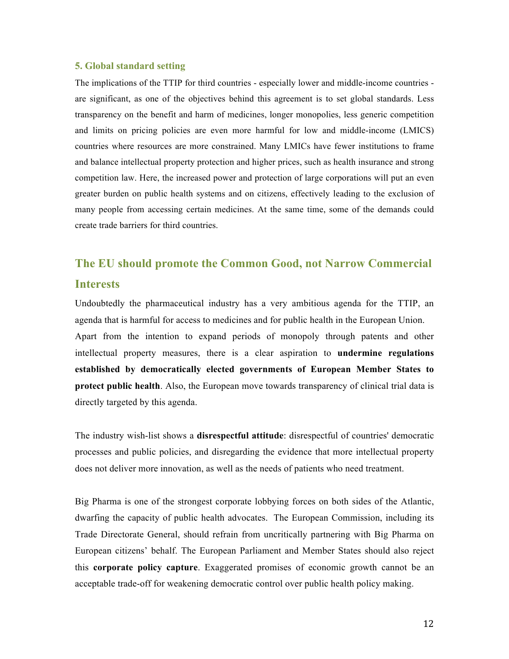#### **5. Global standard setting**

The implications of the TTIP for third countries - especially lower and middle-income countries are significant, as one of the objectives behind this agreement is to set global standards. Less transparency on the benefit and harm of medicines, longer monopolies, less generic competition and limits on pricing policies are even more harmful for low and middle-income (LMICS) countries where resources are more constrained. Many LMICs have fewer institutions to frame and balance intellectual property protection and higher prices, such as health insurance and strong competition law. Here, the increased power and protection of large corporations will put an even greater burden on public health systems and on citizens, effectively leading to the exclusion of many people from accessing certain medicines. At the same time, some of the demands could create trade barriers for third countries.

# **The EU should promote the Common Good, not Narrow Commercial Interests**

Undoubtedly the pharmaceutical industry has a very ambitious agenda for the TTIP, an agenda that is harmful for access to medicines and for public health in the European Union. Apart from the intention to expand periods of monopoly through patents and other intellectual property measures, there is a clear aspiration to **undermine regulations established by democratically elected governments of European Member States to protect public health**. Also, the European move towards transparency of clinical trial data is directly targeted by this agenda.

The industry wish-list shows a **disrespectful attitude**: disrespectful of countries' democratic processes and public policies, and disregarding the evidence that more intellectual property does not deliver more innovation, as well as the needs of patients who need treatment.

Big Pharma is one of the strongest corporate lobbying forces on both sides of the Atlantic, dwarfing the capacity of public health advocates. The European Commission, including its Trade Directorate General, should refrain from uncritically partnering with Big Pharma on European citizens' behalf. The European Parliament and Member States should also reject this **corporate policy capture**. Exaggerated promises of economic growth cannot be an acceptable trade-off for weakening democratic control over public health policy making.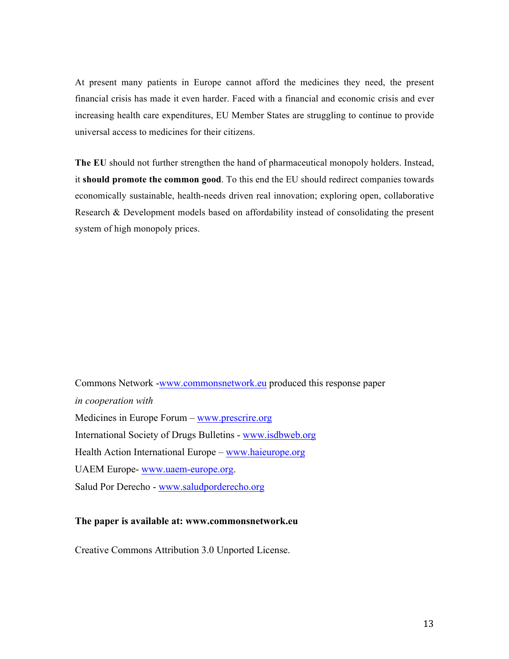At present many patients in Europe cannot afford the medicines they need, the present financial crisis has made it even harder. Faced with a financial and economic crisis and ever increasing health care expenditures, EU Member States are struggling to continue to provide universal access to medicines for their citizens.

**The EU** should not further strengthen the hand of pharmaceutical monopoly holders. Instead, it **should promote the common good**. To this end the EU should redirect companies towards economically sustainable, health-needs driven real innovation; exploring open, collaborative Research & Development models based on affordability instead of consolidating the present system of high monopoly prices.

Commons Network -www.commonsnetwork.eu produced this response paper *in cooperation with* Medicines in Europe Forum – www.prescrire.org International Society of Drugs Bulletins - www.isdbweb.org Health Action International Europe – www.haieurope.org UAEM Europe- www.uaem-europe.org. Salud Por Derecho - www.saludporderecho.org

#### **The paper is available at: www.commonsnetwork.eu**

Creative Commons Attribution 3.0 Unported License.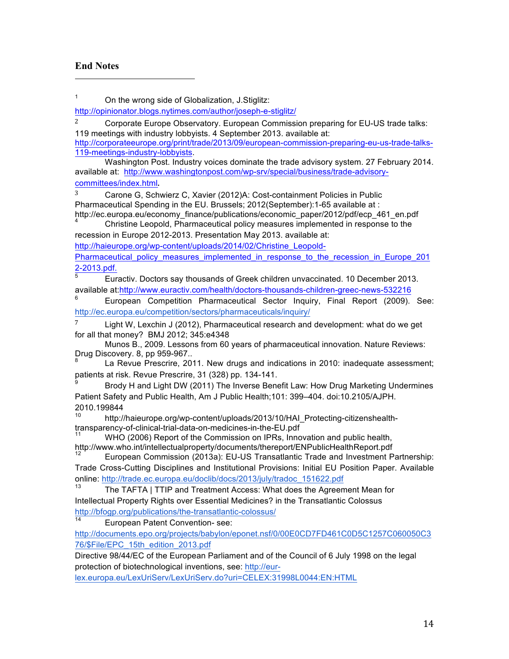# **End Notes**

 

<sup>1</sup> On the wrong side of Globalization, J.Stiglitz:

http://opinionator.blogs.nytimes.com/author/joseph-e-stiglitz/

 $2^2$  Corporate Europe Observatory. European Commission preparing for EU-US trade talks: 119 meetings with industry lobbyists. 4 September 2013. available at: http://corporateeurope.org/print/trade/2013/09/european-commission-preparing-eu-us-trade-talks-119-meetings-industry-lobbyists.

Washington Post. Industry voices dominate the trade advisory system. 27 February 2014. available at: http://www.washingtonpost.com/wp-srv/special/business/trade-advisorycommittees/index.html. 

<sup>3</sup> Carone G, Schwierz C, Xavier (2012)A: Cost-containment Policies in Public Pharmaceutical Spending in the EU. Brussels; 2012(September):1-65 available at : http://ec.europa.eu/economy\_finance/publications/economic\_paper/2012/pdf/ecp\_461\_en.pdf

Christine Leopold, Pharmaceutical policy measures implemented in response to the recession in Europe 2012-2013. Presentation May 2013. available at:

http://haieurope.org/wp-content/uploads/2014/02/Christine\_Leopold-

Pharmaceutical policy measures implemented in response to the recession in Europe 201  $\frac{2-2013.pdf}{5}$ 

<sup>5</sup> Euractiv. Doctors say thousands of Greek children unvaccinated. 10 December 2013. available at:http://www.euractiv.com/health/doctors-thousands-children-greec-news-532216

<sup>6</sup> European Competition Pharmaceutical Sector Inquiry, Final Report (2009). See: http://ec.europa.eu/competition/sectors/pharmaceuticals/inquiry/

Light W, Lexchin J (2012), Pharmaceutical research and development: what do we get for all that money? BMJ 2012; 345:e4348

Munos B., 2009. Lessons from 60 years of pharmaceutical innovation. Nature Reviews: Drug Discovery. 8, pp 959-967..

La Revue Prescrire, 2011. New drugs and indications in 2010: inadequate assessment; patients at risk. Revue Prescrire, 31 (328) pp. 134-141.

Brody H and Light DW (2011) The Inverse Benefit Law: How Drug Marketing Undermines Patient Safety and Public Health, Am J Public Health;101: 399–404. doi:10.2105/AJPH. 2010.199844

<sup>10</sup> http://haieurope.org/wp-content/uploads/2013/10/HAI\_Protecting-citizenshealth-<br>transparency-of-clinical-trial-data-on-medicines-in-the-EU.pdf

WHO (2006) Report of the Commission on IPRs, Innovation and public health, http://www.who.int/intellectualproperty/documents/thereport/ENPublicHealthReport.pdf

European Commission (2013a): EU-US Transatlantic Trade and Investment Partnership: Trade Cross-Cutting Disciplines and Institutional Provisions: Initial EU Position Paper. Available online: http://trade.ec.europa.eu/doclib/docs/2013/july/tradoc\_151622.pdf

 $13$  The TAFTA | TTIP and Treatment Access: What does the Agreement Mean for Intellectual Property Rights over Essential Medicines? in the Transatlantic Colossus http://bfogp.org/publications/the-transatlantic-colossus/

European Patent Convention- see:

http://documents.epo.org/projects/babylon/eponet.nsf/0/00E0CD7FD461C0D5C1257C060050C3 76/\$File/EPC\_15th\_edition\_2013.pdf

Directive 98/44/EC of the European Parliament and of the Council of 6 July 1998 on the legal protection of biotechnological inventions, see: http://eur-

lex.europa.eu/LexUriServ/LexUriServ.do?uri=CELEX:31998L0044:EN:HTML